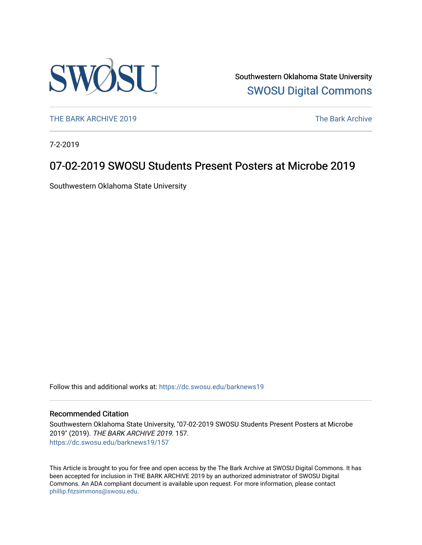

Southwestern Oklahoma State University [SWOSU Digital Commons](https://dc.swosu.edu/) 

[THE BARK ARCHIVE 2019](https://dc.swosu.edu/barknews19) The Bark Archive

7-2-2019

# 07-02-2019 SWOSU Students Present Posters at Microbe 2019

Southwestern Oklahoma State University

Follow this and additional works at: [https://dc.swosu.edu/barknews19](https://dc.swosu.edu/barknews19?utm_source=dc.swosu.edu%2Fbarknews19%2F157&utm_medium=PDF&utm_campaign=PDFCoverPages)

### Recommended Citation

Southwestern Oklahoma State University, "07-02-2019 SWOSU Students Present Posters at Microbe 2019" (2019). THE BARK ARCHIVE 2019. 157. [https://dc.swosu.edu/barknews19/157](https://dc.swosu.edu/barknews19/157?utm_source=dc.swosu.edu%2Fbarknews19%2F157&utm_medium=PDF&utm_campaign=PDFCoverPages)

This Article is brought to you for free and open access by the The Bark Archive at SWOSU Digital Commons. It has been accepted for inclusion in THE BARK ARCHIVE 2019 by an authorized administrator of SWOSU Digital Commons. An ADA compliant document is available upon request. For more information, please contact [phillip.fitzsimmons@swosu.edu](mailto:phillip.fitzsimmons@swosu.edu).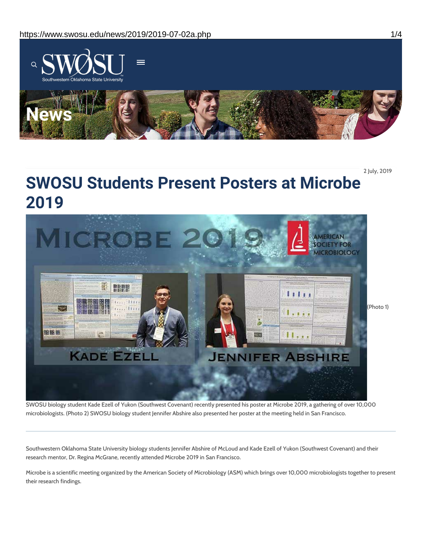

2 July, 2019

# **SWOSU Students Present Posters at Microbe 2019**



SWOSU biology student Kade Ezell of Yukon (Southwest Covenant) recently presented his poster at Microbe 2019, a gathering of over 10,000 microbiologists. (Photo 2) SWOSU biology student Jennifer Abshire also presented her poster at the meeting held in San Francisco.

Southwestern Oklahoma State University biology students Jennifer Abshire of McLoud and Kade Ezell of Yukon (Southwest Covenant) and their research mentor, Dr. Regina McGrane, recently attended Microbe 2019 in San Francisco.

Microbe is a scientific meeting organized by the American Society of Microbiology (ASM) which brings over 10,000 microbiologists together to present their research findings.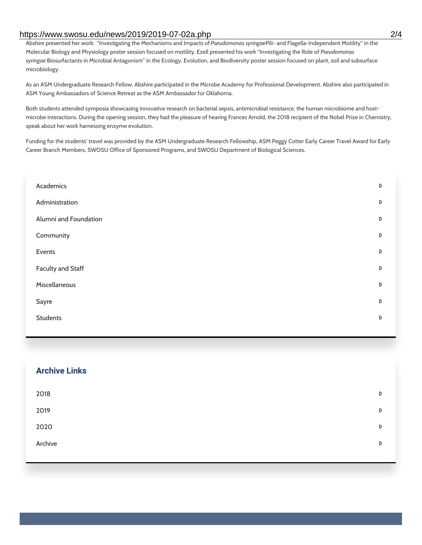### https://www.swosu.edu/news/2019/2019-07-02a.php 2/4

Abshire presented her work: "Investigating the Mechanisms and Impacts of*Pseudomonas syringae*Pili- and Flagella-Independent Motility" in the Molecular Biology and Physiology poster session focused on motility. Ezell presented his work "Investigating the Role of *Pseudomonas syringae* Biosurfactants in Microbial Antagonism" in the Ecology, Evolution, and Biodiversity poster session focused on plant, soil and subsurface microbiology.

As an ASM Undergraduate Research Fellow, Abshire participated in the Microbe Academy for Professional Development. Abshire also participated in ASM Young Ambassadors of Science Retreat as the ASM Ambassador for Oklahoma.

Both students attended symposia showcasing innovative research on bacterial sepsis, antimicrobial resistance, the human microbiome and hostmicrobe interactions. During the opening session, they had the pleasure of hearing Frances Arnold, the 2018 recipient of the Nobel Prize in Chemistry, speak about her work harnessing enzyme evolution.

Funding for the students' travel was provided by the ASM Undergraduate Research Fellowship, ASM Peggy Cotter Early Career Travel Award for Early Career Branch Members, SWOSU Office of Sponsored Programs, and SWOSU Department of Biological Sciences.

| Academics                | D           |
|--------------------------|-------------|
| Administration           | D           |
| Alumni and Foundation    | D           |
| Community                | D           |
| Events                   | D           |
| <b>Faculty and Staff</b> | D           |
| Miscellaneous            | D           |
| Sayre                    | D           |
| <b>Students</b>          | $\mathsf D$ |
|                          |             |

| <b>Archive Links</b> |   |
|----------------------|---|
| 2018                 | D |
| 2019                 | D |
| 2020                 | D |
| Archive              | D |
|                      |   |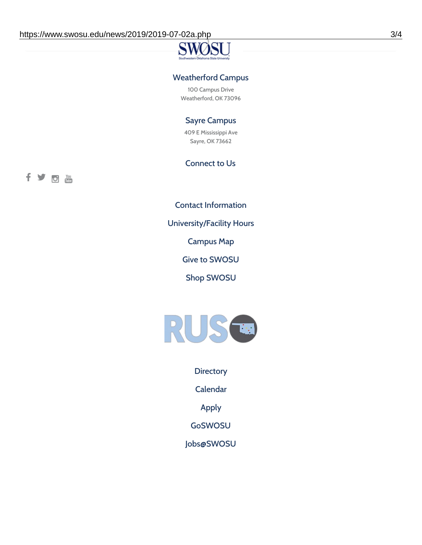### Weatherford Campus

100 Campus Drive Weatherford, OK 73096

## Sayre Campus

409 E Mississippi Ave Sayre, OK 73662

### Connect to Us

fyoth

Contact [Information](https://www.swosu.edu/about/contact.php)

[University/Facility](https://www.swosu.edu/about/operating-hours.php) Hours

[Campus](https://map.concept3d.com/?id=768#!ct/10964,10214,10213,10212,10205,10204,10203,10202,10136,10129,10128,0,31226,10130,10201,10641,0) Map

Give to [SWOSU](https://standingfirmly.com/donate)

Shop [SWOSU](https://shopswosu.merchorders.com/)



**[Directory](https://www.swosu.edu/directory/index.php)** 

[Calendar](https://eventpublisher.dudesolutions.com/swosu/)

[Apply](https://www.swosu.edu/admissions/apply-to-swosu.php)

[GoSWOSU](https://qlsso.quicklaunchsso.com/home/1267)

[Jobs@SWOSU](https://swosu.csod.com/ux/ats/careersite/1/home?c=swosu)